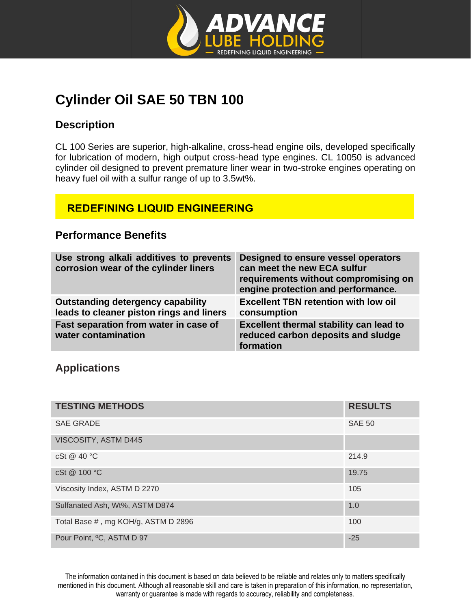

# **Cylinder Oil SAE 50 TBN 100**

## **Description**

CL 100 Series are superior, high-alkaline, cross-head engine oils, developed specifically for lubrication of modern, high output cross-head type engines. CL 10050 is advanced cylinder oil designed to prevent premature liner wear in two-stroke engines operating on heavy fuel oil with a sulfur range of up to 3.5wt%.

### **REDEFINING LIQUID ENGINEERING**

#### **Performance Benefits**

| Use strong alkali additives to prevents<br>corrosion wear of the cylinder liners     | Designed to ensure vessel operators<br>can meet the new ECA sulfur<br>requirements without compromising on<br>engine protection and performance. |
|--------------------------------------------------------------------------------------|--------------------------------------------------------------------------------------------------------------------------------------------------|
| <b>Outstanding detergency capability</b><br>leads to cleaner piston rings and liners | <b>Excellent TBN retention with low oil</b><br>consumption                                                                                       |
| Fast separation from water in case of<br>water contamination                         | Excellent thermal stability can lead to<br>reduced carbon deposits and sludge<br>formation                                                       |

# **Applications**

| <b>TESTING METHODS</b>              | <b>RESULTS</b> |
|-------------------------------------|----------------|
| <b>SAE GRADE</b>                    | <b>SAE 50</b>  |
| VISCOSITY, ASTM D445                |                |
| cSt @ 40 °C                         | 214.9          |
| cSt @ 100 °C                        | 19.75          |
| Viscosity Index, ASTM D 2270        | 105            |
| Sulfanated Ash, Wt%, ASTM D874      | 1.0            |
| Total Base #, mg KOH/g, ASTM D 2896 | 100            |
| Pour Point, °C, ASTM D 97           | $-25$          |

The information contained in this document is based on data believed to be reliable and relates only to matters specifically mentioned in this document. Although all reasonable skill and care is taken in preparation of this information, no representation, warranty or guarantee is made with regards to accuracy, reliability and completeness.